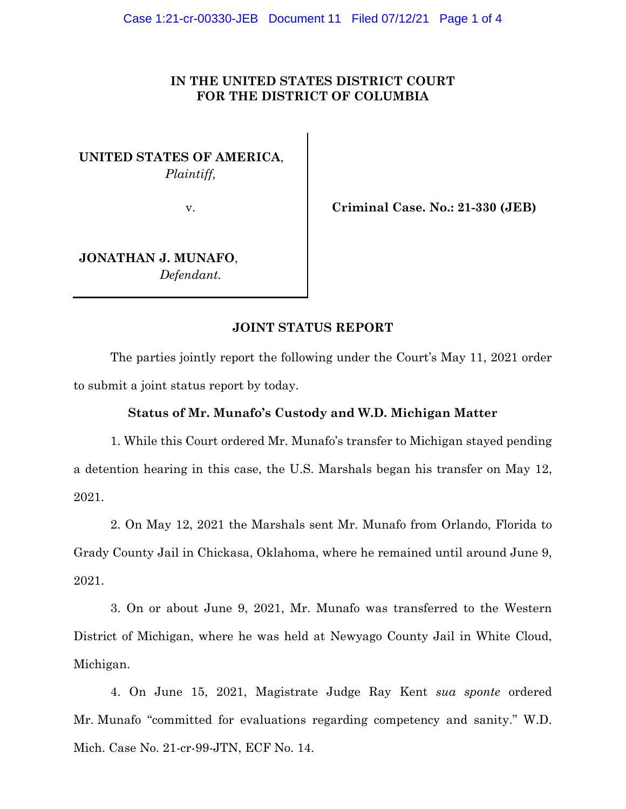## **IN THE UNITED STATES DISTRICT COURT FOR THE DISTRICT OF COLUMBIA**

**UNITED STATES OF AMERICA**, *Plaintiff,*

v. **Criminal Case. No.: 21-330 (JEB)**

**JONATHAN J. MUNAFO**, *Defendant.*

# **JOINT STATUS REPORT**

The parties jointly report the following under the Court's May 11, 2021 order to submit a joint status report by today.

### **Status of Mr. Munafo's Custody and W.D. Michigan Matter**

1. While this Court ordered Mr. Munafo's transfer to Michigan stayed pending a detention hearing in this case, the U.S. Marshals began his transfer on May 12, 2021.

2. On May 12, 2021 the Marshals sent Mr. Munafo from Orlando, Florida to Grady County Jail in Chickasa, Oklahoma, where he remained until around June 9, 2021.

3. On or about June 9, 2021, Mr. Munafo was transferred to the Western District of Michigan, where he was held at Newyago County Jail in White Cloud, Michigan.

4. On June 15, 2021, Magistrate Judge Ray Kent *sua sponte* ordered Mr. Munafo "committed for evaluations regarding competency and sanity." W.D. Mich. Case No. 21-cr-99-JTN, ECF No. 14.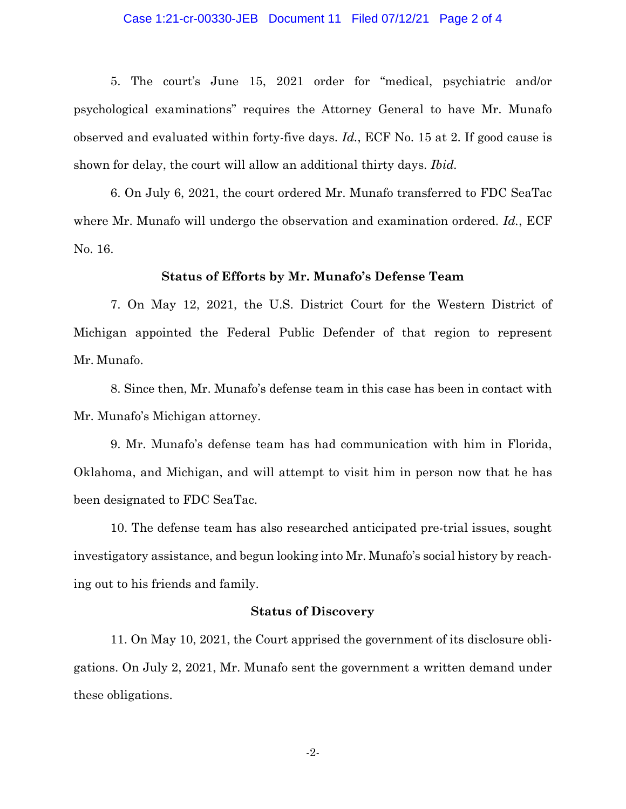#### Case 1:21-cr-00330-JEB Document 11 Filed 07/12/21 Page 2 of 4

5. The court's June 15, 2021 order for "medical, psychiatric and/or psychological examinations" requires the Attorney General to have Mr. Munafo observed and evaluated within forty-five days. *Id.*, ECF No. 15 at 2. If good cause is shown for delay, the court will allow an additional thirty days. *Ibid.*

6. On July 6, 2021, the court ordered Mr. Munafo transferred to FDC SeaTac where Mr. Munafo will undergo the observation and examination ordered. *Id.*, ECF No. 16.

#### **Status of Efforts by Mr. Munafo's Defense Team**

7. On May 12, 2021, the U.S. District Court for the Western District of Michigan appointed the Federal Public Defender of that region to represent Mr. Munafo.

8. Since then, Mr. Munafo's defense team in this case has been in contact with Mr. Munafo's Michigan attorney.

9. Mr. Munafo's defense team has had communication with him in Florida, Oklahoma, and Michigan, and will attempt to visit him in person now that he has been designated to FDC SeaTac.

10. The defense team has also researched anticipated pre-trial issues, sought investigatory assistance, and begun looking into Mr. Munafo's social history by reaching out to his friends and family.

### **Status of Discovery**

11. On May 10, 2021, the Court apprised the government of its disclosure obligations. On July 2, 2021, Mr. Munafo sent the government a written demand under these obligations.

-2-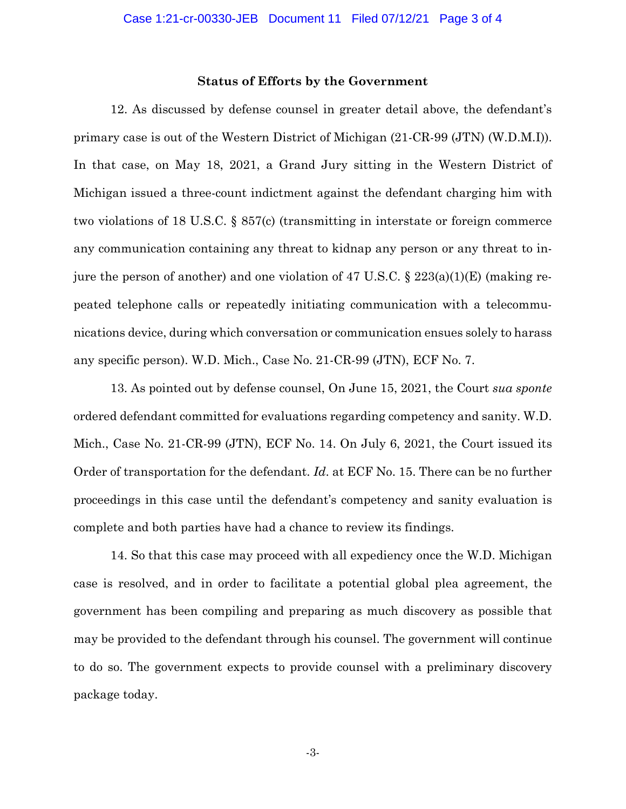#### **Status of Efforts by the Government**

12. As discussed by defense counsel in greater detail above, the defendant's primary case is out of the Western District of Michigan (21-CR-99 (JTN) (W.D.M.I)). In that case, on May 18, 2021, a Grand Jury sitting in the Western District of Michigan issued a three-count indictment against the defendant charging him with two violations of 18 U.S.C. § 857(c) (transmitting in interstate or foreign commerce any communication containing any threat to kidnap any person or any threat to injure the person of another) and one violation of 47 U.S.C. § 223(a)(1)(E) (making repeated telephone calls or repeatedly initiating communication with a telecommunications device, during which conversation or communication ensues solely to harass any specific person). W.D. Mich., Case No. 21-CR-99 (JTN), ECF No. 7.

13. As pointed out by defense counsel, On June 15, 2021, the Court *sua sponte* ordered defendant committed for evaluations regarding competency and sanity. W.D. Mich., Case No. 21-CR-99 (JTN), ECF No. 14. On July 6, 2021, the Court issued its Order of transportation for the defendant. *Id*. at ECF No. 15. There can be no further proceedings in this case until the defendant's competency and sanity evaluation is complete and both parties have had a chance to review its findings.

14. So that this case may proceed with all expediency once the W.D. Michigan case is resolved, and in order to facilitate a potential global plea agreement, the government has been compiling and preparing as much discovery as possible that may be provided to the defendant through his counsel. The government will continue to do so. The government expects to provide counsel with a preliminary discovery package today.

-3-